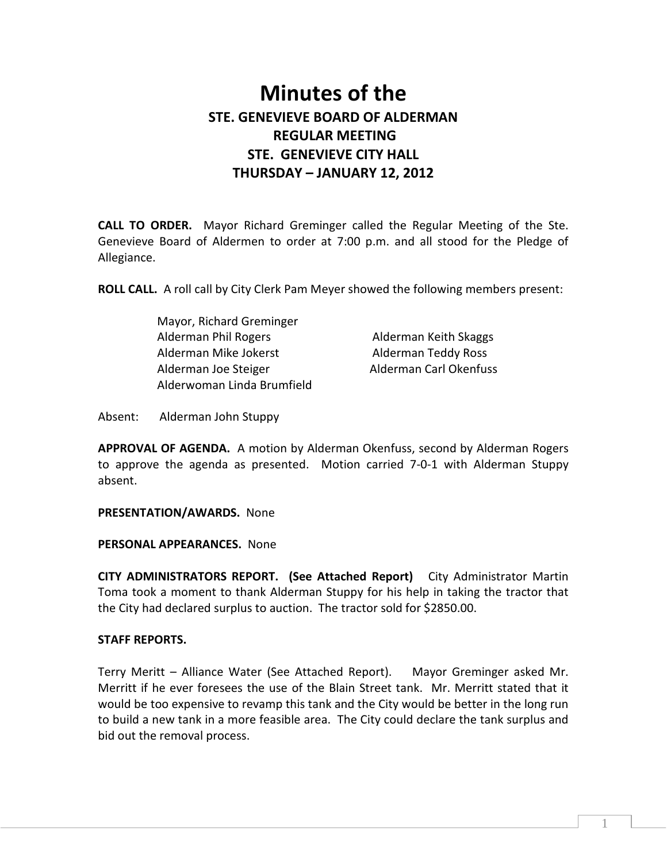# Minutes of the STE. GENEVIEVE BOARD OF ALDERMAN REGULAR MEETING STE. GENEVIEVE CITY HALL THURSDAY – JANUARY 12, 2012

CALL TO ORDER. Mayor Richard Greminger called the Regular Meeting of the Ste. Genevieve Board of Aldermen to order at 7:00 p.m. and all stood for the Pledge of Allegiance.

ROLL CALL. A roll call by City Clerk Pam Meyer showed the following members present:

| Mayor, Richard Greminger   |
|----------------------------|
| Alderman Phil Rogers       |
| Alderman Mike Jokerst      |
| Alderman Joe Steiger       |
| Alderwoman Linda Brumfield |

Alderman Keith Skaggs Alderman Teddy Ross Alderman Carl Okenfuss

Absent: Alderman John Stuppy

APPROVAL OF AGENDA. A motion by Alderman Okenfuss, second by Alderman Rogers to approve the agenda as presented. Motion carried 7-0-1 with Alderman Stuppy absent.

PRESENTATION/AWARDS. None

PERSONAL APPEARANCES. None

CITY ADMINISTRATORS REPORT. (See Attached Report) City Administrator Martin Toma took a moment to thank Alderman Stuppy for his help in taking the tractor that the City had declared surplus to auction. The tractor sold for \$2850.00.

## STAFF REPORTS.

Terry Meritt – Alliance Water (See Attached Report). Mayor Greminger asked Mr. Merritt if he ever foresees the use of the Blain Street tank. Mr. Merritt stated that it would be too expensive to revamp this tank and the City would be better in the long run to build a new tank in a more feasible area. The City could declare the tank surplus and bid out the removal process.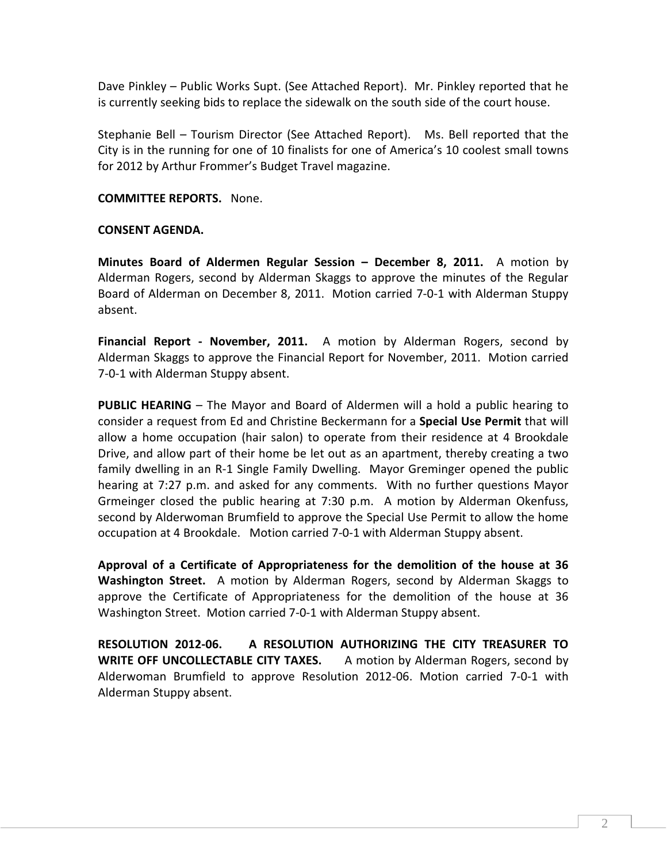Dave Pinkley – Public Works Supt. (See Attached Report). Mr. Pinkley reported that he is currently seeking bids to replace the sidewalk on the south side of the court house.

Stephanie Bell – Tourism Director (See Attached Report). Ms. Bell reported that the City is in the running for one of 10 finalists for one of America's 10 coolest small towns for 2012 by Arthur Frommer's Budget Travel magazine.

## COMMITTEE REPORTS. None.

## CONSENT AGENDA.

Minutes Board of Aldermen Regular Session – December 8, 2011. A motion by Alderman Rogers, second by Alderman Skaggs to approve the minutes of the Regular Board of Alderman on December 8, 2011. Motion carried 7-0-1 with Alderman Stuppy absent.

Financial Report - November, 2011. A motion by Alderman Rogers, second by Alderman Skaggs to approve the Financial Report for November, 2011. Motion carried 7-0-1 with Alderman Stuppy absent.

PUBLIC HEARING – The Mayor and Board of Aldermen will a hold a public hearing to consider a request from Ed and Christine Beckermann for a **Special Use Permit** that will allow a home occupation (hair salon) to operate from their residence at 4 Brookdale Drive, and allow part of their home be let out as an apartment, thereby creating a two family dwelling in an R-1 Single Family Dwelling. Mayor Greminger opened the public hearing at 7:27 p.m. and asked for any comments. With no further questions Mayor Grmeinger closed the public hearing at 7:30 p.m. A motion by Alderman Okenfuss, second by Alderwoman Brumfield to approve the Special Use Permit to allow the home occupation at 4 Brookdale. Motion carried 7-0-1 with Alderman Stuppy absent.

Approval of a Certificate of Appropriateness for the demolition of the house at 36 Washington Street. A motion by Alderman Rogers, second by Alderman Skaggs to approve the Certificate of Appropriateness for the demolition of the house at 36 Washington Street. Motion carried 7-0-1 with Alderman Stuppy absent.

RESOLUTION 2012-06. A RESOLUTION AUTHORIZING THE CITY TREASURER TO WRITE OFF UNCOLLECTABLE CITY TAXES. A motion by Alderman Rogers, second by Alderwoman Brumfield to approve Resolution 2012-06. Motion carried 7-0-1 with Alderman Stuppy absent.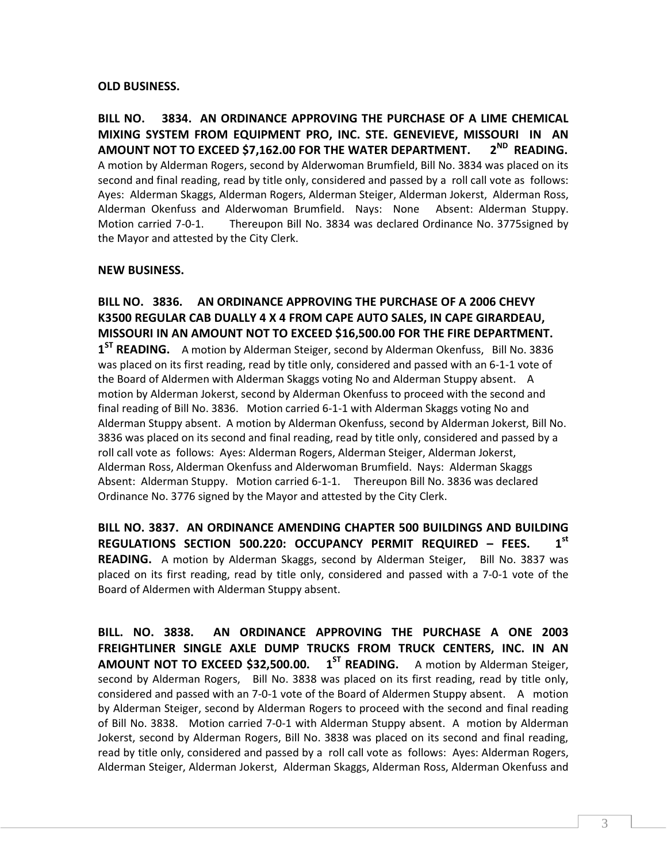### OLD BUSINESS.

BILL NO. 3834. AN ORDINANCE APPROVING THE PURCHASE OF A LIME CHEMICAL MIXING SYSTEM FROM EQUIPMENT PRO, INC. STE. GENEVIEVE, MISSOURI IN AN AMOUNT NOT TO EXCEED \$7,162.00 FOR THE WATER DEPARTMENT.  $2^{ND}$  READING. A motion by Alderman Rogers, second by Alderwoman Brumfield, Bill No. 3834 was placed on its second and final reading, read by title only, considered and passed by a roll call vote as follows: Ayes: Alderman Skaggs, Alderman Rogers, Alderman Steiger, Alderman Jokerst, Alderman Ross, Alderman Okenfuss and Alderwoman Brumfield. Nays: None Absent: Alderman Stuppy. Motion carried 7-0-1. Thereupon Bill No. 3834 was declared Ordinance No. 3775signed by the Mayor and attested by the City Clerk.

### NEW BUSINESS.

BILL NO. 3836. AN ORDINANCE APPROVING THE PURCHASE OF A 2006 CHEVY K3500 REGULAR CAB DUALLY 4 X 4 FROM CAPE AUTO SALES, IN CAPE GIRARDEAU, MISSOURI IN AN AMOUNT NOT TO EXCEED \$16,500.00 FOR THE FIRE DEPARTMENT. 1<sup>ST</sup> READING. A motion by Alderman Steiger, second by Alderman Okenfuss, Bill No. 3836 was placed on its first reading, read by title only, considered and passed with an 6-1-1 vote of the Board of Aldermen with Alderman Skaggs voting No and Alderman Stuppy absent. A motion by Alderman Jokerst, second by Alderman Okenfuss to proceed with the second and final reading of Bill No. 3836. Motion carried 6-1-1 with Alderman Skaggs voting No and Alderman Stuppy absent. A motion by Alderman Okenfuss, second by Alderman Jokerst, Bill No. 3836 was placed on its second and final reading, read by title only, considered and passed by a roll call vote as follows: Ayes: Alderman Rogers, Alderman Steiger, Alderman Jokerst, Alderman Ross, Alderman Okenfuss and Alderwoman Brumfield. Nays: Alderman Skaggs Absent: Alderman Stuppy. Motion carried 6-1-1. Thereupon Bill No. 3836 was declared Ordinance No. 3776 signed by the Mayor and attested by the City Clerk.

BILL NO. 3837. AN ORDINANCE AMENDING CHAPTER 500 BUILDINGS AND BUILDING REGULATIONS SECTION 500.220: OCCUPANCY PERMIT REQUIRED - FEES. 1st READING. A motion by Alderman Skaggs, second by Alderman Steiger, Bill No. 3837 was placed on its first reading, read by title only, considered and passed with a 7-0-1 vote of the Board of Aldermen with Alderman Stuppy absent.

BILL. NO. 3838. AN ORDINANCE APPROVING THE PURCHASE A ONE 2003 FREIGHTLINER SINGLE AXLE DUMP TRUCKS FROM TRUCK CENTERS, INC. IN AN **AMOUNT NOT TO EXCEED \$32,500.00.**  $1^{ST}$  **READING.** A motion by Alderman Steiger, second by Alderman Rogers, Bill No. 3838 was placed on its first reading, read by title only, considered and passed with an 7-0-1 vote of the Board of Aldermen Stuppy absent. A motion by Alderman Steiger, second by Alderman Rogers to proceed with the second and final reading of Bill No. 3838. Motion carried 7-0-1 with Alderman Stuppy absent. A motion by Alderman Jokerst, second by Alderman Rogers, Bill No. 3838 was placed on its second and final reading, read by title only, considered and passed by a roll call vote as follows: Ayes: Alderman Rogers, Alderman Steiger, Alderman Jokerst, Alderman Skaggs, Alderman Ross, Alderman Okenfuss and